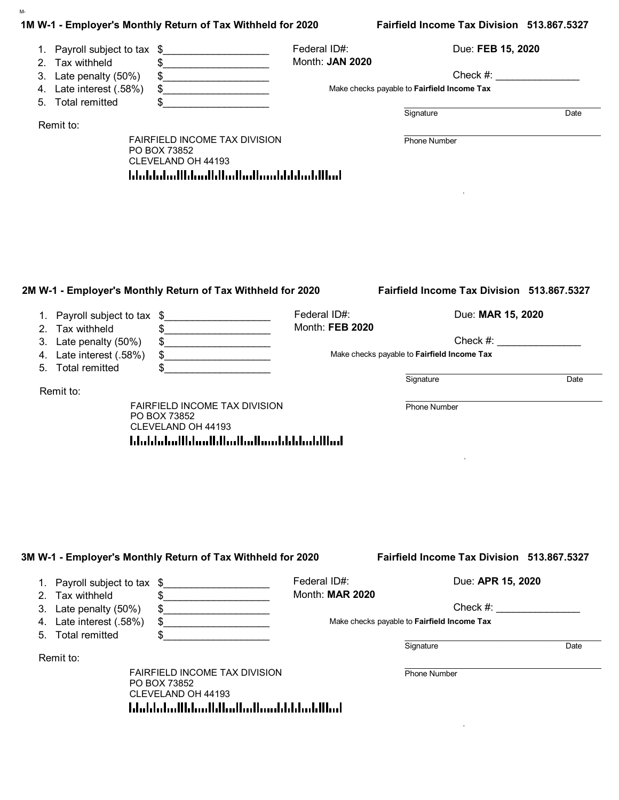|                |                                                                     | 1M W-1 - Employer's Monthly Return of Tax Withheld for 2020                                                                  |                                 | Fairfield Income Tax Division 513.867.5327                 |
|----------------|---------------------------------------------------------------------|------------------------------------------------------------------------------------------------------------------------------|---------------------------------|------------------------------------------------------------|
| 3.             | 1. Payroll subject to tax<br>2. Tax withheld                        | \$<br><u> 1950 - Johann Barbara, martxa</u><br>\$<br>.                                                                       | Federal ID#:<br>Month: JAN 2020 | Due: FEB 15, 2020<br>Check #:                              |
| 4.             | Late penalty (50%)<br>Late interest (.58%)<br>5. Total remitted     | $\frac{1}{2}$                                                                                                                |                                 | Make checks payable to Fairfield Income Tax                |
|                | Remit to:                                                           | <u> 1980 - Jan Barnett, fransk politik (d. 19</u>                                                                            |                                 | Signature<br>Date                                          |
|                |                                                                     | FAIRFIELD INCOME TAX DIVISION<br>PO BOX 73852<br>CLEVELAND OH 44193<br>hlubbdudlbbudblbudbudbunbbbbubllbub                   |                                 | <b>Phone Number</b>                                        |
|                |                                                                     | 2M W-1 - Employer's Monthly Return of Tax Withheld for 2020                                                                  |                                 | Fairfield Income Tax Division 513.867.5327                 |
| 1.<br>2.       | Payroll subject to tax \$<br>Tax withheld                           | .<br>$\frac{1}{2}$                                                                                                           | Federal ID#:<br>Month: FEB 2020 | Due: MAR 15, 2020                                          |
| 3.<br>4.<br>5. | Late penalty (50%)<br>Late interest (.58%)<br><b>Total remitted</b> | $\frac{1}{2}$<br>$\frac{1}{2}$                                                                                               |                                 | $Check \#:$<br>Make checks payable to Fairfield Income Tax |
|                | Remit to:                                                           |                                                                                                                              |                                 | Signature<br>Date                                          |
|                |                                                                     | FAIRFIELD INCOME TAX DIVISION<br>PO BOX 73852<br>CLEVELAND OH 44193<br>استاليا بشايا باشتراسا اساليا استايا اساسلينا بالبابا |                                 | <b>Phone Number</b>                                        |
|                |                                                                     |                                                                                                                              |                                 |                                                            |
|                |                                                                     | 3M W-1 - Employer's Monthly Return of Tax Withheld for 2020                                                                  |                                 | Fairfield Income Tax Division 513.867.5327                 |
| 2.             | 1. Payroll subject to tax \$<br>Tax withheld                        | \$                                                                                                                           | Federal ID#:<br>Month: MAR 2020 | Due: APR 15, 2020                                          |
|                | 3. Late penalty (50%)                                               | \$                                                                                                                           |                                 | Check #:                                                   |

| 3. Late penalty $(50\%)$ \$  | Checl                                   |
|------------------------------|-----------------------------------------|
| 4. Late interest $(.58%)$ \$ | Make checks payable to Fairfield Income |

Make checks payable to **Fairfield Income Tax**

\$\_\_\_\_\_\_\_\_\_\_\_\_\_\_\_\_\_\_\_ \_\_\_\_\_\_\_\_\_\_\_\_\_\_\_\_\_\_\_\_\_\_\_\_\_\_\_\_\_\_\_\_\_\_\_\_\_\_\_\_\_\_\_\_\_

Signature Date

Remit to:

5. Total remitted

M-

FAIRFIELD INCOME TAX DIVISION PO BOX 73852 CLEVELAND OH 44193

 $\mathcal{L}_\text{max} = \mathcal{L}_\text{max} = \mathcal{L}_\text{max} = \mathcal{L}_\text{max} = \mathcal{L}_\text{max} = \mathcal{L}_\text{max} = \mathcal{L}_\text{max} = \mathcal{L}_\text{max} = \mathcal{L}_\text{max} = \mathcal{L}_\text{max} = \mathcal{L}_\text{max} = \mathcal{L}_\text{max} = \mathcal{L}_\text{max} = \mathcal{L}_\text{max} = \mathcal{L}_\text{max} = \mathcal{L}_\text{max} = \mathcal{L}_\text{max} = \mathcal{L}_\text{max} = \mathcal{$ Phone Number

, and the contract of the contract of the contract of the contract of the contract of the contract of the contract of the contract of the contract of the contract of the contract of the contract of the contract of the cont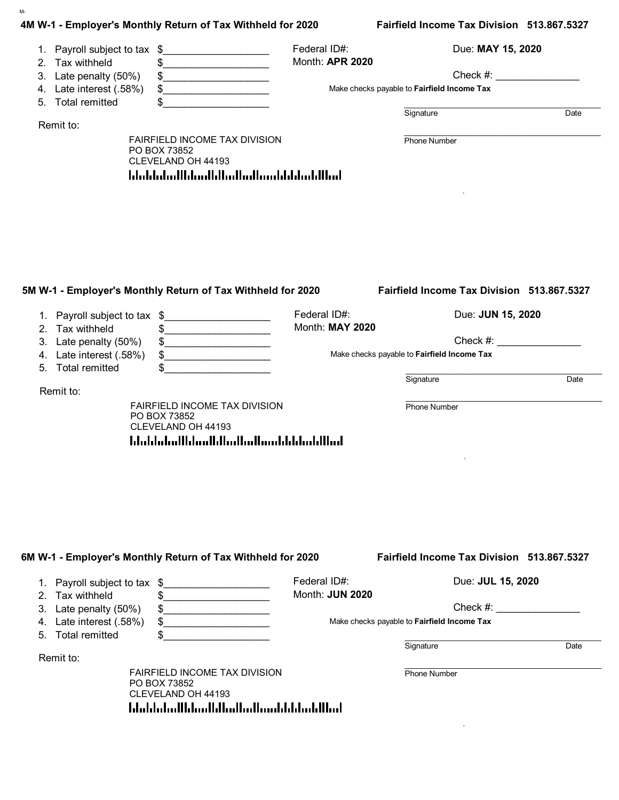|                 |                              | 4M W-1 - Employer's Monthly Return of Tax Withheld for 2020                                                                                                                                                                                                                                                                                                         |                 | Fairfield Income Tax Division 513.867.5327  |      |
|-----------------|------------------------------|---------------------------------------------------------------------------------------------------------------------------------------------------------------------------------------------------------------------------------------------------------------------------------------------------------------------------------------------------------------------|-----------------|---------------------------------------------|------|
|                 | 1. Payroll subject to tax \$ | <u> 1990 - Johann Barbara, martxa alemani</u> ar a                                                                                                                                                                                                                                                                                                                  | Federal ID#:    | Due: MAY 15, 2020                           |      |
| 2. Tax withheld |                              | .                                                                                                                                                                                                                                                                                                                                                                   | Month: APR 2020 |                                             |      |
| 3.              | Late penalty (50%)           |                                                                                                                                                                                                                                                                                                                                                                     |                 | Check #:                                    |      |
|                 | 4. Late interest (.58%)      | \$                                                                                                                                                                                                                                                                                                                                                                  |                 | Make checks payable to Fairfield Income Tax |      |
|                 | 5. Total remitted            | the control of the control of the control of                                                                                                                                                                                                                                                                                                                        |                 |                                             |      |
|                 |                              |                                                                                                                                                                                                                                                                                                                                                                     |                 | Signature                                   | Date |
| Remit to:       |                              |                                                                                                                                                                                                                                                                                                                                                                     |                 |                                             |      |
|                 |                              | FAIRFIELD INCOME TAX DIVISION                                                                                                                                                                                                                                                                                                                                       |                 | <b>Phone Number</b>                         |      |
|                 |                              | PO BOX 73852<br>CLEVELAND OH 44193                                                                                                                                                                                                                                                                                                                                  |                 |                                             |      |
|                 |                              | hlubbdudlbbudblbudbudbunbbbbubllbub                                                                                                                                                                                                                                                                                                                                 |                 |                                             |      |
|                 |                              |                                                                                                                                                                                                                                                                                                                                                                     |                 |                                             |      |
|                 |                              |                                                                                                                                                                                                                                                                                                                                                                     |                 |                                             |      |
|                 |                              |                                                                                                                                                                                                                                                                                                                                                                     |                 |                                             |      |
|                 |                              |                                                                                                                                                                                                                                                                                                                                                                     |                 |                                             |      |
|                 |                              |                                                                                                                                                                                                                                                                                                                                                                     |                 |                                             |      |
|                 |                              |                                                                                                                                                                                                                                                                                                                                                                     |                 |                                             |      |
|                 |                              |                                                                                                                                                                                                                                                                                                                                                                     |                 |                                             |      |
|                 |                              |                                                                                                                                                                                                                                                                                                                                                                     |                 |                                             |      |
|                 |                              |                                                                                                                                                                                                                                                                                                                                                                     |                 |                                             |      |
|                 |                              |                                                                                                                                                                                                                                                                                                                                                                     |                 |                                             |      |
|                 |                              |                                                                                                                                                                                                                                                                                                                                                                     |                 |                                             |      |
|                 |                              | 5M W-1 - Employer's Monthly Return of Tax Withheld for 2020                                                                                                                                                                                                                                                                                                         |                 | Fairfield Income Tax Division 513.867.5327  |      |
|                 | 1. Payroll subject to tax \$ | .                                                                                                                                                                                                                                                                                                                                                                   | Federal ID#:    | Due: JUN 15, 2020                           |      |
| 2.              | Tax withheld                 | \$<br>.                                                                                                                                                                                                                                                                                                                                                             | Month: MAY 2020 |                                             |      |
| 3.              | Late penalty (50%)           |                                                                                                                                                                                                                                                                                                                                                                     |                 | $Check \#:$                                 |      |
|                 |                              | $\begin{picture}(20,10) \put(0,0){\vector(1,0){100}} \put(15,0){\vector(1,0){100}} \put(15,0){\vector(1,0){100}} \put(15,0){\vector(1,0){100}} \put(15,0){\vector(1,0){100}} \put(15,0){\vector(1,0){100}} \put(15,0){\vector(1,0){100}} \put(15,0){\vector(1,0){100}} \put(15,0){\vector(1,0){100}} \put(15,0){\vector(1,0){100}} \put(15,0){\vector(1,0){100}} \$ |                 | Make checks payable to Fairfield Income Tax |      |
| 4.              | Late interest (.58%)         | $\frac{1}{2}$                                                                                                                                                                                                                                                                                                                                                       |                 |                                             |      |
| 5.              | <b>Total remitted</b>        | \$                                                                                                                                                                                                                                                                                                                                                                  |                 |                                             |      |
| Remit to:       |                              |                                                                                                                                                                                                                                                                                                                                                                     |                 | Signature                                   | Date |
|                 |                              |                                                                                                                                                                                                                                                                                                                                                                     |                 |                                             |      |
|                 |                              | FAIRFIELD INCOME TAX DIVISION<br>PO BOX 73852                                                                                                                                                                                                                                                                                                                       |                 | <b>Phone Number</b>                         |      |
|                 |                              | CLEVELAND OH 44193                                                                                                                                                                                                                                                                                                                                                  |                 |                                             |      |
|                 |                              |                                                                                                                                                                                                                                                                                                                                                                     |                 |                                             |      |
|                 |                              | استاليا بشايا باشترانسا اساليا استليالسا ببابياتنا                                                                                                                                                                                                                                                                                                                  |                 |                                             |      |
|                 |                              |                                                                                                                                                                                                                                                                                                                                                                     |                 |                                             |      |
|                 |                              |                                                                                                                                                                                                                                                                                                                                                                     |                 |                                             |      |
|                 |                              |                                                                                                                                                                                                                                                                                                                                                                     |                 |                                             |      |
|                 |                              |                                                                                                                                                                                                                                                                                                                                                                     |                 |                                             |      |
|                 |                              |                                                                                                                                                                                                                                                                                                                                                                     |                 |                                             |      |
|                 |                              |                                                                                                                                                                                                                                                                                                                                                                     |                 |                                             |      |
|                 |                              |                                                                                                                                                                                                                                                                                                                                                                     |                 |                                             |      |
|                 |                              |                                                                                                                                                                                                                                                                                                                                                                     |                 |                                             |      |
|                 |                              |                                                                                                                                                                                                                                                                                                                                                                     |                 |                                             |      |
|                 |                              | 6M W-1 - Employer's Monthly Return of Tax Withheld for 2020                                                                                                                                                                                                                                                                                                         |                 | Fairfield Income Tax Division 513.867.5327  |      |
|                 |                              |                                                                                                                                                                                                                                                                                                                                                                     |                 |                                             |      |
|                 | 1. Payroll subject to tax    | \$                                                                                                                                                                                                                                                                                                                                                                  | Federal ID#:    | Due: JUL 15, 2020                           |      |
| 2.              | Tax withheld                 | \$                                                                                                                                                                                                                                                                                                                                                                  | Month: JUN 2020 |                                             |      |
| 3.              | Late penalty (50%)           |                                                                                                                                                                                                                                                                                                                                                                     |                 | Check #:                                    |      |
|                 | 4. Late interest (.58%)      | \$<br>the control of the control of the control of                                                                                                                                                                                                                                                                                                                  |                 | Make checks payable to Fairfield Income Tax |      |
|                 |                              |                                                                                                                                                                                                                                                                                                                                                                     |                 |                                             |      |
| 5.              | <b>Total remitted</b>        | \$                                                                                                                                                                                                                                                                                                                                                                  |                 |                                             |      |

Remit to:

M-

FAIRFIELD INCOME TAX DIVISION PO BOX 73852 CLEVELAND OH 44193

 $\mathcal{L}_\text{max} = \mathcal{L}_\text{max} = \mathcal{L}_\text{max} = \mathcal{L}_\text{max} = \mathcal{L}_\text{max} = \mathcal{L}_\text{max} = \mathcal{L}_\text{max} = \mathcal{L}_\text{max} = \mathcal{L}_\text{max} = \mathcal{L}_\text{max} = \mathcal{L}_\text{max} = \mathcal{L}_\text{max} = \mathcal{L}_\text{max} = \mathcal{L}_\text{max} = \mathcal{L}_\text{max} = \mathcal{L}_\text{max} = \mathcal{L}_\text{max} = \mathcal{L}_\text{max} = \mathcal{$ Phone Number

, and the contract of the contract of the contract of the contract of the contract of the contract of the contract of the contract of the contract of the contract of the contract of the contract of the contract of the cont

Signature Date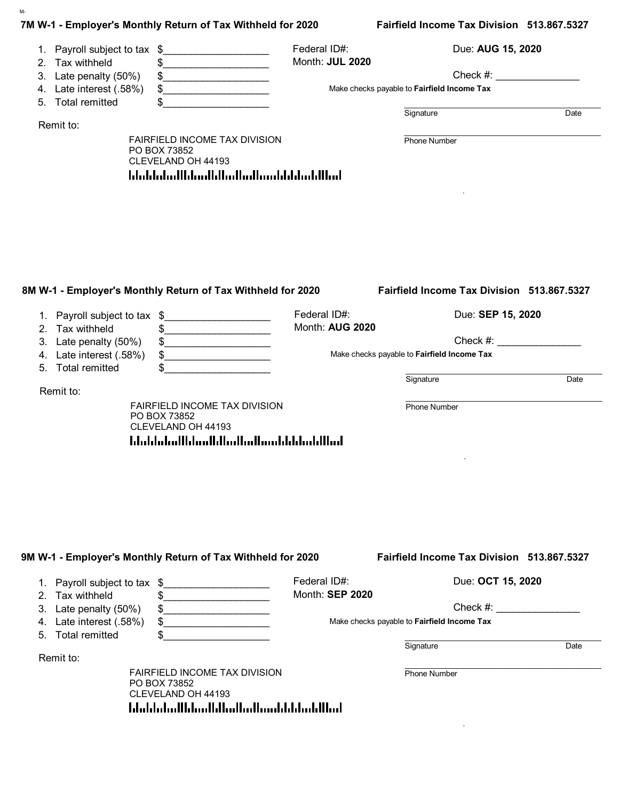|          |                                                 | 7M W-1 - Employer's Monthly Return of Tax Withheld for 2020                                                                                                                                                                                                                                                                                                         |                                 | Fairfield Income Tax Division 513.867.5327                                                                                                                                                                                                                                    |      |
|----------|-------------------------------------------------|---------------------------------------------------------------------------------------------------------------------------------------------------------------------------------------------------------------------------------------------------------------------------------------------------------------------------------------------------------------------|---------------------------------|-------------------------------------------------------------------------------------------------------------------------------------------------------------------------------------------------------------------------------------------------------------------------------|------|
|          | 1. Payroll subject to tax \$<br>2. Tax withheld | \$<br>.                                                                                                                                                                                                                                                                                                                                                             | Federal ID#:<br>Month: JUL 2020 | Due: AUG 15, 2020                                                                                                                                                                                                                                                             |      |
| 3.       | Late penalty (50%)<br>4. Late interest (.58%)   | \$<br>.                                                                                                                                                                                                                                                                                                                                                             |                                 | Check #:<br>Make checks payable to Fairfield Income Tax                                                                                                                                                                                                                       |      |
|          | 5. Total remitted                               |                                                                                                                                                                                                                                                                                                                                                                     |                                 |                                                                                                                                                                                                                                                                               |      |
|          |                                                 |                                                                                                                                                                                                                                                                                                                                                                     |                                 | Signature                                                                                                                                                                                                                                                                     | Date |
|          | Remit to:                                       | FAIRFIELD INCOME TAX DIVISION                                                                                                                                                                                                                                                                                                                                       |                                 | Phone Number                                                                                                                                                                                                                                                                  |      |
|          |                                                 | PO BOX 73852                                                                                                                                                                                                                                                                                                                                                        |                                 |                                                                                                                                                                                                                                                                               |      |
|          |                                                 | CLEVELAND OH 44193<br>hlubbdudlbbudblbudbudbunbbbbubllbub                                                                                                                                                                                                                                                                                                           |                                 |                                                                                                                                                                                                                                                                               |      |
|          |                                                 |                                                                                                                                                                                                                                                                                                                                                                     |                                 |                                                                                                                                                                                                                                                                               |      |
|          |                                                 |                                                                                                                                                                                                                                                                                                                                                                     |                                 |                                                                                                                                                                                                                                                                               |      |
|          |                                                 |                                                                                                                                                                                                                                                                                                                                                                     |                                 |                                                                                                                                                                                                                                                                               |      |
|          |                                                 |                                                                                                                                                                                                                                                                                                                                                                     |                                 |                                                                                                                                                                                                                                                                               |      |
|          |                                                 |                                                                                                                                                                                                                                                                                                                                                                     |                                 |                                                                                                                                                                                                                                                                               |      |
|          |                                                 |                                                                                                                                                                                                                                                                                                                                                                     |                                 |                                                                                                                                                                                                                                                                               |      |
|          |                                                 |                                                                                                                                                                                                                                                                                                                                                                     |                                 | Fairfield Income Tax Division 513.867.5327                                                                                                                                                                                                                                    |      |
|          |                                                 | 8M W-1 - Employer's Monthly Return of Tax Withheld for 2020                                                                                                                                                                                                                                                                                                         |                                 |                                                                                                                                                                                                                                                                               |      |
|          | 1. Payroll subject to tax \$                    |                                                                                                                                                                                                                                                                                                                                                                     | Federal ID#:                    | Due: SEP 15, 2020                                                                                                                                                                                                                                                             |      |
|          | 2. Tax withheld                                 | \$<br><u> 1990 - Johann Barbara, martin a</u>                                                                                                                                                                                                                                                                                                                       | Month: AUG 2020                 |                                                                                                                                                                                                                                                                               |      |
| 3.       | Late penalty (50%)                              | $\begin{picture}(20,10) \put(0,0){\vector(1,0){100}} \put(15,0){\vector(1,0){100}} \put(15,0){\vector(1,0){100}} \put(15,0){\vector(1,0){100}} \put(15,0){\vector(1,0){100}} \put(15,0){\vector(1,0){100}} \put(15,0){\vector(1,0){100}} \put(15,0){\vector(1,0){100}} \put(15,0){\vector(1,0){100}} \put(15,0){\vector(1,0){100}} \put(15,0){\vector(1,0){100}} \$ |                                 | Check #: and the state of the state of the state of the state of the state of the state of the state of the state of the state of the state of the state of the state of the state of the state of the state of the state of t<br>Make checks payable to Fairfield Income Tax |      |
| 4.<br>5. | Late interest (.58%)<br><b>Total remitted</b>   | \$<br>.                                                                                                                                                                                                                                                                                                                                                             |                                 |                                                                                                                                                                                                                                                                               |      |
|          |                                                 |                                                                                                                                                                                                                                                                                                                                                                     |                                 | Signature                                                                                                                                                                                                                                                                     | Date |
|          | Remit to:                                       |                                                                                                                                                                                                                                                                                                                                                                     |                                 |                                                                                                                                                                                                                                                                               |      |
|          |                                                 | FAIRFIELD INCOME TAX DIVISION<br>PO BOX 73852                                                                                                                                                                                                                                                                                                                       |                                 | Phone Number                                                                                                                                                                                                                                                                  |      |
|          |                                                 | CLEVELAND OH 44193                                                                                                                                                                                                                                                                                                                                                  |                                 |                                                                                                                                                                                                                                                                               |      |
|          |                                                 | <u> Idaldaladildaallilladiadiaaldildadillad</u>                                                                                                                                                                                                                                                                                                                     |                                 |                                                                                                                                                                                                                                                                               |      |
|          |                                                 |                                                                                                                                                                                                                                                                                                                                                                     |                                 |                                                                                                                                                                                                                                                                               |      |
|          |                                                 |                                                                                                                                                                                                                                                                                                                                                                     |                                 |                                                                                                                                                                                                                                                                               |      |
|          |                                                 |                                                                                                                                                                                                                                                                                                                                                                     |                                 |                                                                                                                                                                                                                                                                               |      |
|          |                                                 |                                                                                                                                                                                                                                                                                                                                                                     |                                 |                                                                                                                                                                                                                                                                               |      |
|          |                                                 |                                                                                                                                                                                                                                                                                                                                                                     |                                 |                                                                                                                                                                                                                                                                               |      |
|          |                                                 |                                                                                                                                                                                                                                                                                                                                                                     |                                 |                                                                                                                                                                                                                                                                               |      |
|          |                                                 | 9M W-1 - Employer's Monthly Return of Tax Withheld for 2020                                                                                                                                                                                                                                                                                                         |                                 | Fairfield Income Tax Division 513.867.5327                                                                                                                                                                                                                                    |      |
|          | 1. Payroll subject to tax                       | \$                                                                                                                                                                                                                                                                                                                                                                  | Federal ID#:                    | Due: OCT 15, 2020                                                                                                                                                                                                                                                             |      |
| 2.       | Tax withheld                                    | .<br>\$                                                                                                                                                                                                                                                                                                                                                             | Month: SEP 2020                 |                                                                                                                                                                                                                                                                               |      |
| 3.       | Late penalty (50%)                              | \$<br><u> 1989 - Johann Barnett, fransk konge</u>                                                                                                                                                                                                                                                                                                                   |                                 | Check #: <u>________________</u>                                                                                                                                                                                                                                              |      |
| 4.       | Late interest (.58%)                            | \$                                                                                                                                                                                                                                                                                                                                                                  |                                 | Make checks payable to Fairfield Income Tax                                                                                                                                                                                                                                   |      |
| 5.       | <b>Total remitted</b>                           |                                                                                                                                                                                                                                                                                                                                                                     |                                 |                                                                                                                                                                                                                                                                               |      |

Remit to:

M-

FAIRFIELD INCOME TAX DIVISION PO BOX 73852 CLEVELAND OH 44193

 $\mathcal{L}_\text{max} = \mathcal{L}_\text{max} = \mathcal{L}_\text{max} = \mathcal{L}_\text{max} = \mathcal{L}_\text{max} = \mathcal{L}_\text{max} = \mathcal{L}_\text{max} = \mathcal{L}_\text{max} = \mathcal{L}_\text{max} = \mathcal{L}_\text{max} = \mathcal{L}_\text{max} = \mathcal{L}_\text{max} = \mathcal{L}_\text{max} = \mathcal{L}_\text{max} = \mathcal{L}_\text{max} = \mathcal{L}_\text{max} = \mathcal{L}_\text{max} = \mathcal{L}_\text{max} = \mathcal{$ Phone Number

, and the contract of the contract of the contract of the contract of the contract of the contract of the contract of the contract of the contract of the contract of the contract of the contract of the contract of the cont

Signature Date